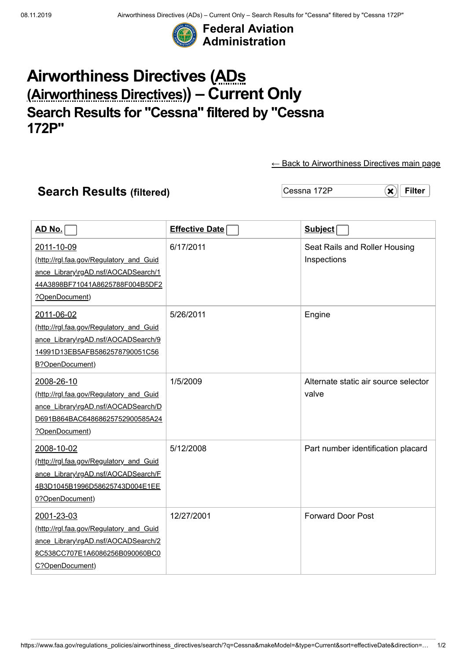

## **Airworthiness Directives (ADs (Airworthiness Directives)) – Current Only Search Results for "Cessna" filtered by "Cessna 172P"**

[← Back to Airworthiness Directives main page](https://www.faa.gov/regulations_policies/airworthiness_directives/)

## **Search Results (filtered)** Cessna 172P **[×](https://www.faa.gov/regulations_policies/airworthiness_directives/search/?q=Cessna&type=Current) × × × × × ×**

| <u>AD No.</u>                                                                                                                                     | <b>Effective Date</b> | Subject                                       |
|---------------------------------------------------------------------------------------------------------------------------------------------------|-----------------------|-----------------------------------------------|
| 2011-10-09<br>(http://rgl.faa.gov/Regulatory_and_Guid<br>ance Library\rgAD.nsf/AOCADSearch/1<br>44A3898BF71041A8625788F004B5DF2<br>?OpenDocument) | 6/17/2011             | Seat Rails and Roller Housing<br>Inspections  |
| 2011-06-02<br>(http://rgl.faa.gov/Regulatory_and_Guid<br>ance Library\rgAD.nsf/AOCADSearch/9<br>14991D13EB5AFB5862578790051C56<br>B?OpenDocument) | 5/26/2011             | Engine                                        |
| 2008-26-10<br>(http://rgl.faa.gov/Regulatory_and_Guid<br>ance Library\rgAD.nsf/AOCADSearch/D<br>D691B864BAC64868625752900585A24<br>?OpenDocument) | 1/5/2009              | Alternate static air source selector<br>valve |
| 2008-10-02<br>(http://rgl.faa.gov/Regulatory_and_Guid<br>ance Library\rgAD.nsf/AOCADSearch/F<br>4B3D1045B1996D58625743D004E1EE<br>0?OpenDocument) | 5/12/2008             | Part number identification placard            |
| 2001-23-03<br>(http://rgl.faa.gov/Regulatory_and_Guid<br>ance Library\rgAD.nsf/AOCADSearch/2<br>8C538CC707E1A6086256B090060BC0<br>C?OpenDocument) | 12/27/2001            | <b>Forward Door Post</b>                      |